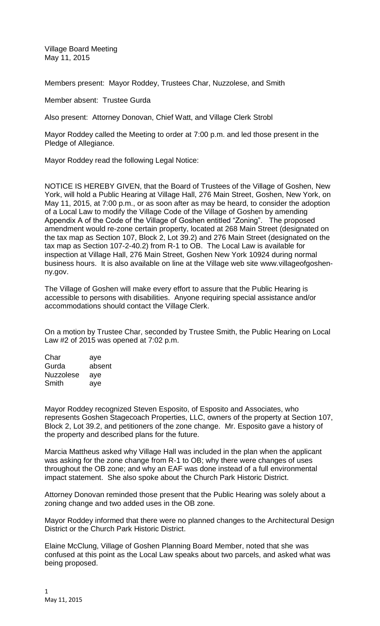Village Board Meeting May 11, 2015

Members present: Mayor Roddey, Trustees Char, Nuzzolese, and Smith

Member absent: Trustee Gurda

Also present: Attorney Donovan, Chief Watt, and Village Clerk Strobl

Mayor Roddey called the Meeting to order at 7:00 p.m. and led those present in the Pledge of Allegiance.

Mayor Roddey read the following Legal Notice:

NOTICE IS HEREBY GIVEN, that the Board of Trustees of the Village of Goshen, New York, will hold a Public Hearing at Village Hall, 276 Main Street, Goshen, New York, on May 11, 2015, at 7:00 p.m., or as soon after as may be heard, to consider the adoption of a Local Law to modify the Village Code of the Village of Goshen by amending Appendix A of the Code of the Village of Goshen entitled "Zoning". The proposed amendment would re-zone certain property, located at 268 Main Street (designated on the tax map as Section 107, Block 2, Lot 39.2) and 276 Main Street (designated on the tax map as Section 107-2-40.2) from R-1 to OB. The Local Law is available for inspection at Village Hall, 276 Main Street, Goshen New York 10924 during normal business hours. It is also available on line at the Village web site www.villageofgoshenny.gov.

The Village of Goshen will make every effort to assure that the Public Hearing is accessible to persons with disabilities. Anyone requiring special assistance and/or accommodations should contact the Village Clerk.

On a motion by Trustee Char, seconded by Trustee Smith, the Public Hearing on Local Law #2 of 2015 was opened at 7:02 p.m.

| Char             | aye    |
|------------------|--------|
| Gurda            | absent |
| <b>Nuzzolese</b> | aye    |
| Smith            | ave    |

Mayor Roddey recognized Steven Esposito, of Esposito and Associates, who represents Goshen Stagecoach Properties, LLC, owners of the property at Section 107, Block 2, Lot 39.2, and petitioners of the zone change. Mr. Esposito gave a history of the property and described plans for the future.

Marcia Mattheus asked why Village Hall was included in the plan when the applicant was asking for the zone change from R-1 to OB; why there were changes of uses throughout the OB zone; and why an EAF was done instead of a full environmental impact statement. She also spoke about the Church Park Historic District.

Attorney Donovan reminded those present that the Public Hearing was solely about a zoning change and two added uses in the OB zone.

Mayor Roddey informed that there were no planned changes to the Architectural Design District or the Church Park Historic District.

Elaine McClung, Village of Goshen Planning Board Member, noted that she was confused at this point as the Local Law speaks about two parcels, and asked what was being proposed.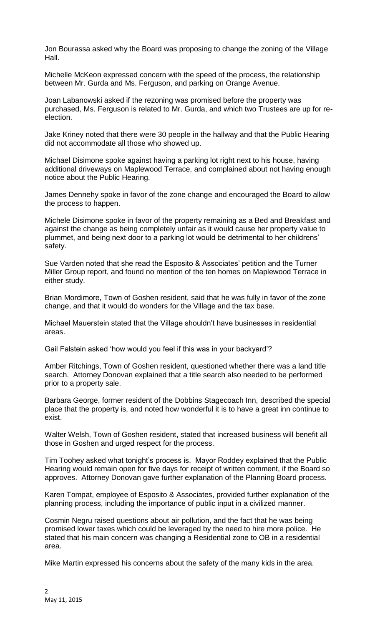Jon Bourassa asked why the Board was proposing to change the zoning of the Village Hall.

Michelle McKeon expressed concern with the speed of the process, the relationship between Mr. Gurda and Ms. Ferguson, and parking on Orange Avenue.

Joan Labanowski asked if the rezoning was promised before the property was purchased, Ms. Ferguson is related to Mr. Gurda, and which two Trustees are up for reelection.

Jake Kriney noted that there were 30 people in the hallway and that the Public Hearing did not accommodate all those who showed up.

Michael Disimone spoke against having a parking lot right next to his house, having additional driveways on Maplewood Terrace, and complained about not having enough notice about the Public Hearing.

James Dennehy spoke in favor of the zone change and encouraged the Board to allow the process to happen.

Michele Disimone spoke in favor of the property remaining as a Bed and Breakfast and against the change as being completely unfair as it would cause her property value to plummet, and being next door to a parking lot would be detrimental to her childrens' safety.

Sue Varden noted that she read the Esposito & Associates' petition and the Turner Miller Group report, and found no mention of the ten homes on Maplewood Terrace in either study.

Brian Mordimore, Town of Goshen resident, said that he was fully in favor of the zone change, and that it would do wonders for the Village and the tax base.

Michael Mauerstein stated that the Village shouldn't have businesses in residential areas.

Gail Falstein asked 'how would you feel if this was in your backyard'?

Amber Ritchings, Town of Goshen resident, questioned whether there was a land title search. Attorney Donovan explained that a title search also needed to be performed prior to a property sale.

Barbara George, former resident of the Dobbins Stagecoach Inn, described the special place that the property is, and noted how wonderful it is to have a great inn continue to exist.

Walter Welsh, Town of Goshen resident, stated that increased business will benefit all those in Goshen and urged respect for the process.

Tim Toohey asked what tonight's process is. Mayor Roddey explained that the Public Hearing would remain open for five days for receipt of written comment, if the Board so approves. Attorney Donovan gave further explanation of the Planning Board process.

Karen Tompat, employee of Esposito & Associates, provided further explanation of the planning process, including the importance of public input in a civilized manner.

Cosmin Negru raised questions about air pollution, and the fact that he was being promised lower taxes which could be leveraged by the need to hire more police. He stated that his main concern was changing a Residential zone to OB in a residential area.

Mike Martin expressed his concerns about the safety of the many kids in the area.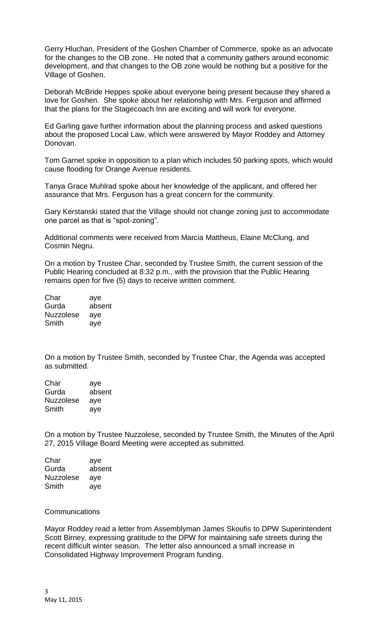Gerry Hluchan, President of the Goshen Chamber of Commerce, spoke as an advocate for the changes to the OB zone. He noted that a community gathers around economic development, and that changes to the OB zone would be nothing but a positive for the Village of Goshen.

Deborah McBride Heppes spoke about everyone being present because they shared a love for Goshen. She spoke about her relationship with Mrs. Ferguson and affirmed that the plans for the Stagecoach Inn are exciting and will work for everyone.

Ed Garling gave further information about the planning process and asked questions about the proposed Local Law, which were answered by Mayor Roddey and Attorney Donovan.

Tom Garnet spoke in opposition to a plan which includes 50 parking spots, which would cause flooding for Orange Avenue residents.

Tanya Grace Muhlrad spoke about her knowledge of the applicant, and offered her assurance that Mrs. Ferguson has a great concern for the community.

Gary Kerstanski stated that the Village should not change zoning just to accommodate one parcel as that is "spot-zoning".

Additional comments were received from Marcia Mattheus, Elaine McClung, and Cosmin Negru.

On a motion by Trustee Char, seconded by Trustee Smith, the current session of the Public Hearing concluded at 8:32 p.m., with the provision that the Public Hearing remains open for five (5) days to receive written comment.

| Char             | aye    |
|------------------|--------|
| Gurda            | absent |
| <b>Nuzzolese</b> | ave    |
| Smith            | aye    |

On a motion by Trustee Smith, seconded by Trustee Char, the Agenda was accepted as submitted.

| Char             | aye    |
|------------------|--------|
| Gurda            | absent |
| <b>Nuzzolese</b> | aye    |
| Smith            | aye    |

On a motion by Trustee Nuzzolese, seconded by Trustee Smith, the Minutes of the April 27, 2015 Village Board Meeting were accepted as submitted.

| aye    |
|--------|
| absent |
| aye    |
| aye    |
|        |

## **Communications**

Mayor Roddey read a letter from Assemblyman James Skoufis to DPW Superintendent Scott Birney, expressing gratitude to the DPW for maintaining safe streets during the recent difficult winter season. The letter also announced a small increase in Consolidated Highway Improvement Program funding.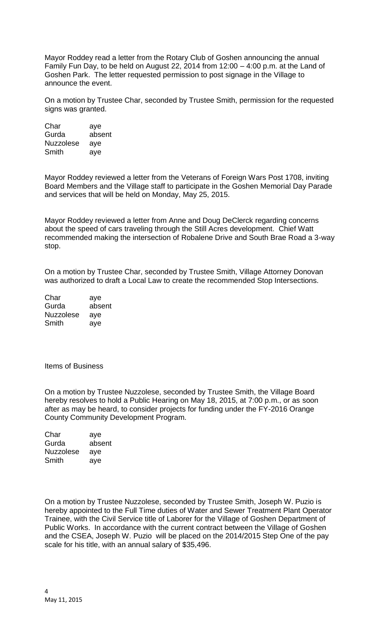Mayor Roddey read a letter from the Rotary Club of Goshen announcing the annual Family Fun Day, to be held on August 22, 2014 from 12:00 – 4:00 p.m. at the Land of Goshen Park. The letter requested permission to post signage in the Village to announce the event.

On a motion by Trustee Char, seconded by Trustee Smith, permission for the requested signs was granted.

Char aye Gurda absent Nuzzolese aye Smith aye

Mayor Roddey reviewed a letter from the Veterans of Foreign Wars Post 1708, inviting Board Members and the Village staff to participate in the Goshen Memorial Day Parade and services that will be held on Monday, May 25, 2015.

Mayor Roddey reviewed a letter from Anne and Doug DeClerck regarding concerns about the speed of cars traveling through the Still Acres development. Chief Watt recommended making the intersection of Robalene Drive and South Brae Road a 3-way stop.

On a motion by Trustee Char, seconded by Trustee Smith, Village Attorney Donovan was authorized to draft a Local Law to create the recommended Stop Intersections.

| Char             | aye    |
|------------------|--------|
| Gurda            | absent |
| <b>Nuzzolese</b> | aye    |
| Smith            | aye    |

Items of Business

On a motion by Trustee Nuzzolese, seconded by Trustee Smith, the Village Board hereby resolves to hold a Public Hearing on May 18, 2015, at 7:00 p.m., or as soon after as may be heard, to consider projects for funding under the FY-2016 Orange County Community Development Program.

| Char             | aye    |
|------------------|--------|
| Gurda            | absent |
| <b>Nuzzolese</b> | aye    |
| Smith            | aye    |

On a motion by Trustee Nuzzolese, seconded by Trustee Smith, Joseph W. Puzio is hereby appointed to the Full Time duties of Water and Sewer Treatment Plant Operator Trainee, with the Civil Service title of Laborer for the Village of Goshen Department of Public Works. In accordance with the current contract between the Village of Goshen and the CSEA, Joseph W. Puzio will be placed on the 2014/2015 Step One of the pay scale for his title, with an annual salary of \$35,496.